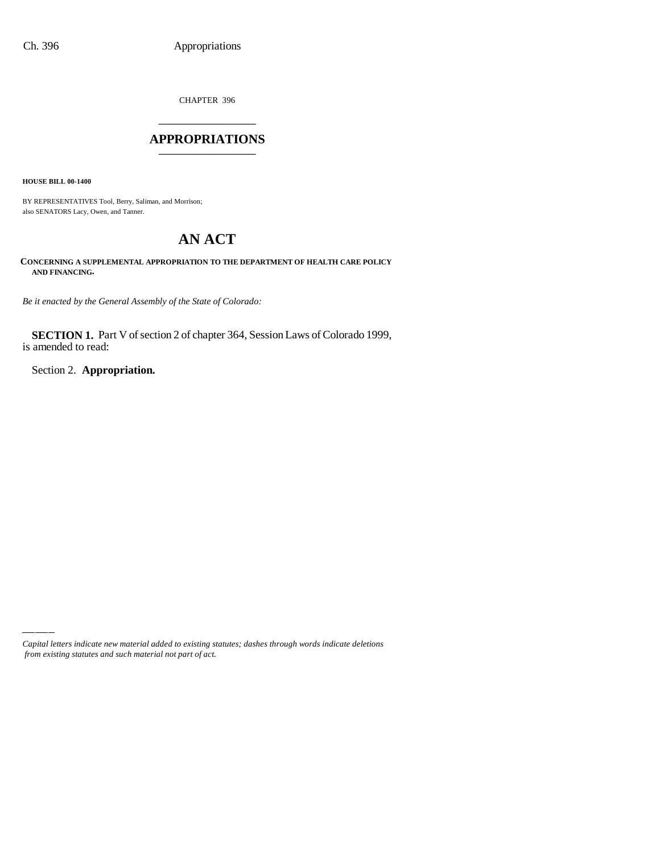CHAPTER 396 \_\_\_\_\_\_\_\_\_\_\_\_\_\_\_

#### **APPROPRIATIONS** \_\_\_\_\_\_\_\_\_\_\_\_\_\_\_

**HOUSE BILL 00-1400**

BY REPRESENTATIVES Tool, Berry, Saliman, and Morrison; also SENATORS Lacy, Owen, and Tanner.

# **AN ACT**

**CONCERNING A SUPPLEMENTAL APPROPRIATION TO THE DEPARTMENT OF HEALTH CARE POLICY AND FINANCING.**

*Be it enacted by the General Assembly of the State of Colorado:*

**SECTION 1.** Part V of section 2 of chapter 364, Session Laws of Colorado 1999, is amended to read:

Section 2. **Appropriation.**

*Capital letters indicate new material added to existing statutes; dashes through words indicate deletions from existing statutes and such material not part of act.*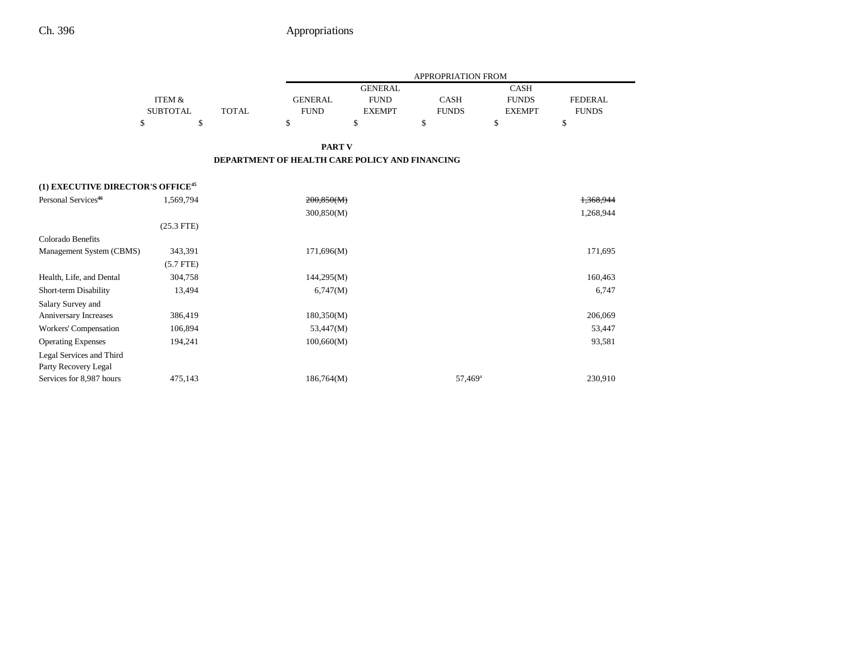|                                               |                 |              |                                                |                | <b>APPROPRIATION FROM</b> |               |                |
|-----------------------------------------------|-----------------|--------------|------------------------------------------------|----------------|---------------------------|---------------|----------------|
|                                               |                 |              |                                                | <b>GENERAL</b> |                           | <b>CASH</b>   |                |
|                                               | ITEM &          |              | <b>GENERAL</b>                                 | <b>FUND</b>    | <b>CASH</b>               | <b>FUNDS</b>  | <b>FEDERAL</b> |
|                                               | <b>SUBTOTAL</b> | <b>TOTAL</b> | <b>FUND</b>                                    | <b>EXEMPT</b>  | <b>FUNDS</b>              | <b>EXEMPT</b> | <b>FUNDS</b>   |
| \$                                            | \$              |              | \$                                             | \$             | \$                        | \$            | \$             |
|                                               |                 |              | <b>PART V</b>                                  |                |                           |               |                |
|                                               |                 |              | DEPARTMENT OF HEALTH CARE POLICY AND FINANCING |                |                           |               |                |
| (1) EXECUTIVE DIRECTOR'S OFFICE <sup>45</sup> |                 |              |                                                |                |                           |               |                |
| Personal Services <sup>46</sup>               | 1,569,794       |              | 200,850(M)                                     |                |                           |               | 1,368,944      |
|                                               |                 |              | 300,850(M)                                     |                |                           |               | 1,268,944      |
|                                               | $(25.3$ FTE)    |              |                                                |                |                           |               |                |
| Colorado Benefits                             |                 |              |                                                |                |                           |               |                |
| Management System (CBMS)                      | 343,391         |              | 171,696(M)                                     |                |                           |               | 171,695        |
|                                               | $(5.7$ FTE)     |              |                                                |                |                           |               |                |
| Health, Life, and Dental                      | 304,758         |              | 144,295(M)                                     |                |                           |               | 160,463        |
| Short-term Disability                         | 13,494          |              | 6,747(M)                                       |                |                           |               | 6,747          |
| Salary Survey and                             |                 |              |                                                |                |                           |               |                |
| Anniversary Increases                         | 386,419         |              | 180,350(M)                                     |                |                           |               | 206,069        |
| Workers' Compensation                         | 106,894         |              | 53,447(M)                                      |                |                           |               | 53,447         |
| <b>Operating Expenses</b>                     | 194,241         |              | 100,660(M)                                     |                |                           |               | 93,581         |
| Legal Services and Third                      |                 |              |                                                |                |                           |               |                |
| Party Recovery Legal                          |                 |              |                                                |                |                           |               |                |
| Services for 8,987 hours                      | 475,143         |              | 186,764(M)                                     |                | 57,469 <sup>a</sup>       |               | 230,910        |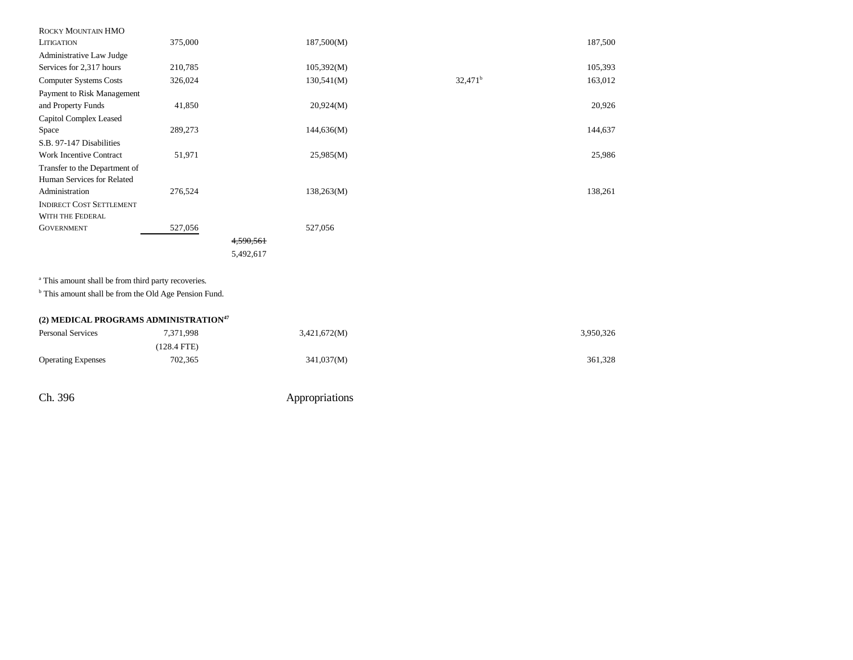| ROCKY MOUNTAIN HMO              |         |           |            |                  |         |
|---------------------------------|---------|-----------|------------|------------------|---------|
| <b>LITIGATION</b>               | 375,000 |           | 187,500(M) |                  | 187,500 |
| Administrative Law Judge        |         |           |            |                  |         |
| Services for 2,317 hours        | 210,785 |           | 105,392(M) |                  | 105,393 |
| <b>Computer Systems Costs</b>   | 326,024 |           | 130,541(M) | $32,471^{\rm b}$ | 163,012 |
| Payment to Risk Management      |         |           |            |                  |         |
| and Property Funds              | 41,850  |           | 20,924(M)  |                  | 20,926  |
| Capitol Complex Leased          |         |           |            |                  |         |
| Space                           | 289,273 |           | 144,636(M) |                  | 144,637 |
| S.B. 97-147 Disabilities        |         |           |            |                  |         |
| <b>Work Incentive Contract</b>  | 51,971  |           | 25,985(M)  |                  | 25,986  |
| Transfer to the Department of   |         |           |            |                  |         |
| Human Services for Related      |         |           |            |                  |         |
| Administration                  | 276,524 |           | 138,263(M) |                  | 138,261 |
| <b>INDIRECT COST SETTLEMENT</b> |         |           |            |                  |         |
| WITH THE FEDERAL                |         |           |            |                  |         |
| <b>GOVERNMENT</b>               | 527,056 |           | 527,056    |                  |         |
|                                 |         | 4,590,561 |            |                  |         |
|                                 |         | 5,492,617 |            |                  |         |
|                                 |         |           |            |                  |         |

<sup>a</sup> This amount shall be from third party recoveries.

 $^{\rm b}$  This amount shall be from the Old Age Pension Fund.

| (2) MEDICAL PROGRAMS ADMINISTRATION <sup>47</sup> |             |              |           |  |  |  |  |
|---------------------------------------------------|-------------|--------------|-----------|--|--|--|--|
| <b>Personal Services</b>                          | 7.371.998   | 3,421,672(M) | 3,950,326 |  |  |  |  |
|                                                   | (128.4 FTE) |              |           |  |  |  |  |
| <b>Operating Expenses</b>                         | 702.365     | 341,037(M)   | 361.328   |  |  |  |  |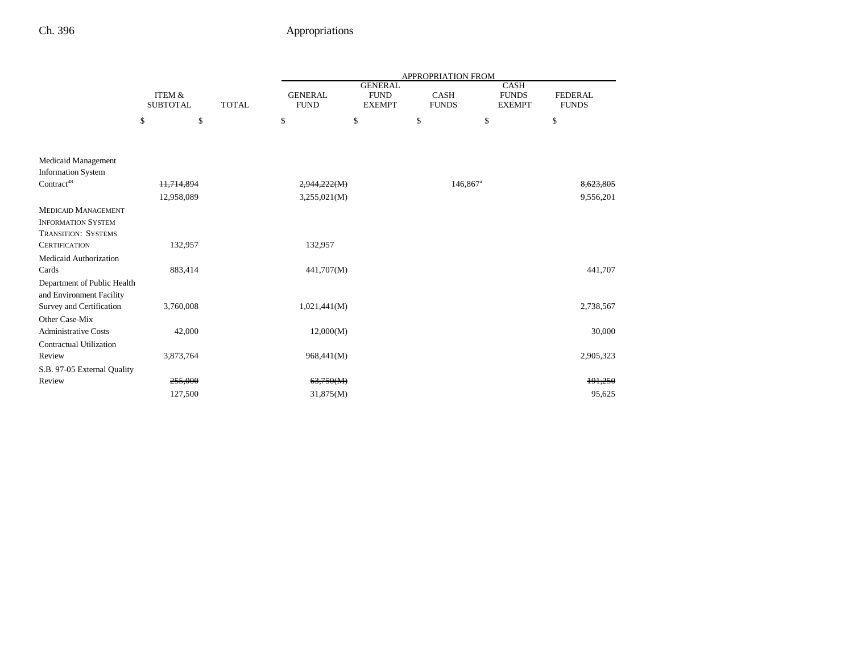|                                |                           |              | APPROPRIATION FROM            |                                                |                             |                                              |                                |  |  |
|--------------------------------|---------------------------|--------------|-------------------------------|------------------------------------------------|-----------------------------|----------------------------------------------|--------------------------------|--|--|
|                                | ITEM &<br><b>SUBTOTAL</b> | <b>TOTAL</b> | <b>GENERAL</b><br><b>FUND</b> | <b>GENERAL</b><br><b>FUND</b><br><b>EXEMPT</b> | <b>CASH</b><br><b>FUNDS</b> | <b>CASH</b><br><b>FUNDS</b><br><b>EXEMPT</b> | <b>FEDERAL</b><br><b>FUNDS</b> |  |  |
|                                | \$<br>\$                  |              | \$                            | \$                                             | \$                          | \$                                           | \$                             |  |  |
|                                |                           |              |                               |                                                |                             |                                              |                                |  |  |
| <b>Medicaid Management</b>     |                           |              |                               |                                                |                             |                                              |                                |  |  |
| <b>Information System</b>      |                           |              |                               |                                                |                             |                                              |                                |  |  |
| Contract <sup>48</sup>         | 11,714,894                |              | 2,944,222(M)                  |                                                | $146,867$ <sup>a</sup>      |                                              | 8,623,805                      |  |  |
|                                | 12,958,089                |              | 3,255,021(M)                  |                                                |                             |                                              | 9,556,201                      |  |  |
| <b>MEDICAID MANAGEMENT</b>     |                           |              |                               |                                                |                             |                                              |                                |  |  |
| <b>INFORMATION SYSTEM</b>      |                           |              |                               |                                                |                             |                                              |                                |  |  |
| TRANSITION: SYSTEMS            |                           |              |                               |                                                |                             |                                              |                                |  |  |
| <b>CERTIFICATION</b>           | 132,957                   |              | 132,957                       |                                                |                             |                                              |                                |  |  |
| Medicaid Authorization         |                           |              |                               |                                                |                             |                                              |                                |  |  |
| Cards                          | 883,414                   |              | 441,707(M)                    |                                                |                             |                                              | 441,707                        |  |  |
| Department of Public Health    |                           |              |                               |                                                |                             |                                              |                                |  |  |
| and Environment Facility       |                           |              |                               |                                                |                             |                                              |                                |  |  |
| Survey and Certification       | 3,760,008                 |              | 1,021,441(M)                  |                                                |                             |                                              | 2,738,567                      |  |  |
| Other Case-Mix                 |                           |              |                               |                                                |                             |                                              |                                |  |  |
| <b>Administrative Costs</b>    | 42,000                    |              | 12,000(M)                     |                                                |                             |                                              | 30,000                         |  |  |
| <b>Contractual Utilization</b> |                           |              |                               |                                                |                             |                                              |                                |  |  |
| Review                         | 3,873,764                 |              | 968,441(M)                    |                                                |                             |                                              | 2,905,323                      |  |  |
| S.B. 97-05 External Quality    |                           |              |                               |                                                |                             |                                              |                                |  |  |
| Review                         | 255,000                   |              | 63,750(M)                     |                                                |                             |                                              | 191,250                        |  |  |
|                                | 127,500                   |              | 31,875(M)                     |                                                |                             |                                              | 95.625                         |  |  |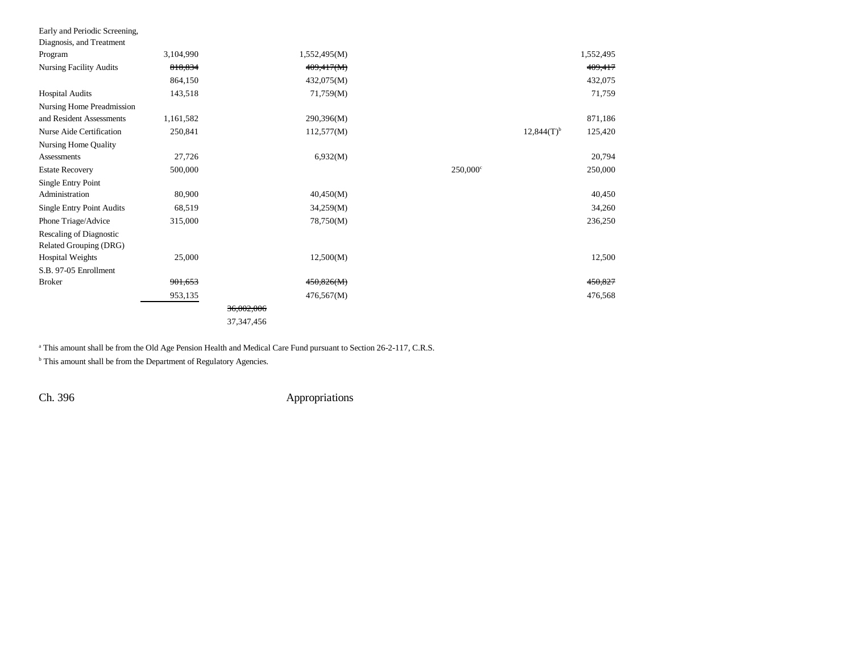| Early and Periodic Screening,    |           |              |              |                        |                 |           |
|----------------------------------|-----------|--------------|--------------|------------------------|-----------------|-----------|
| Diagnosis, and Treatment         |           |              |              |                        |                 |           |
| Program                          | 3,104,990 |              | 1,552,495(M) |                        |                 | 1,552,495 |
| <b>Nursing Facility Audits</b>   | 818,834   |              | 409,417(M)   |                        |                 | 409,417   |
|                                  | 864,150   |              | 432,075(M)   |                        |                 | 432,075   |
| <b>Hospital Audits</b>           | 143,518   |              | 71,759(M)    |                        |                 | 71,759    |
| Nursing Home Preadmission        |           |              |              |                        |                 |           |
| and Resident Assessments         | 1,161,582 |              | 290,396(M)   |                        |                 | 871,186   |
| Nurse Aide Certification         | 250,841   |              | 112,577(M)   |                        | $12,844(T)^{b}$ | 125,420   |
| Nursing Home Quality             |           |              |              |                        |                 |           |
| Assessments                      | 27,726    |              | 6,932(M)     |                        |                 | 20,794    |
| <b>Estate Recovery</b>           | 500,000   |              |              | $250,000$ <sup>c</sup> |                 | 250,000   |
| Single Entry Point               |           |              |              |                        |                 |           |
| Administration                   | 80,900    |              | 40,450(M)    |                        |                 | 40,450    |
| <b>Single Entry Point Audits</b> | 68,519    |              | 34,259(M)    |                        |                 | 34,260    |
| Phone Triage/Advice              | 315,000   |              | 78,750(M)    |                        |                 | 236,250   |
| <b>Rescaling of Diagnostic</b>   |           |              |              |                        |                 |           |
| Related Grouping (DRG)           |           |              |              |                        |                 |           |
| <b>Hospital Weights</b>          | 25,000    |              | 12,500(M)    |                        |                 | 12,500    |
| S.B. 97-05 Enrollment            |           |              |              |                        |                 |           |
| <b>Broker</b>                    | 901,653   |              | 450,826(M)   |                        |                 | 450,827   |
|                                  | 953,135   |              | 476,567(M)   |                        |                 | 476,568   |
|                                  |           | 36,002,006   |              |                        |                 |           |
|                                  |           | 37, 347, 456 |              |                        |                 |           |

<sup>a</sup> This amount shall be from the Old Age Pension Health and Medical Care Fund pursuant to Section 26-2-117, C.R.S.

 $^{\rm b}$  This amount shall be from the Department of Regulatory Agencies.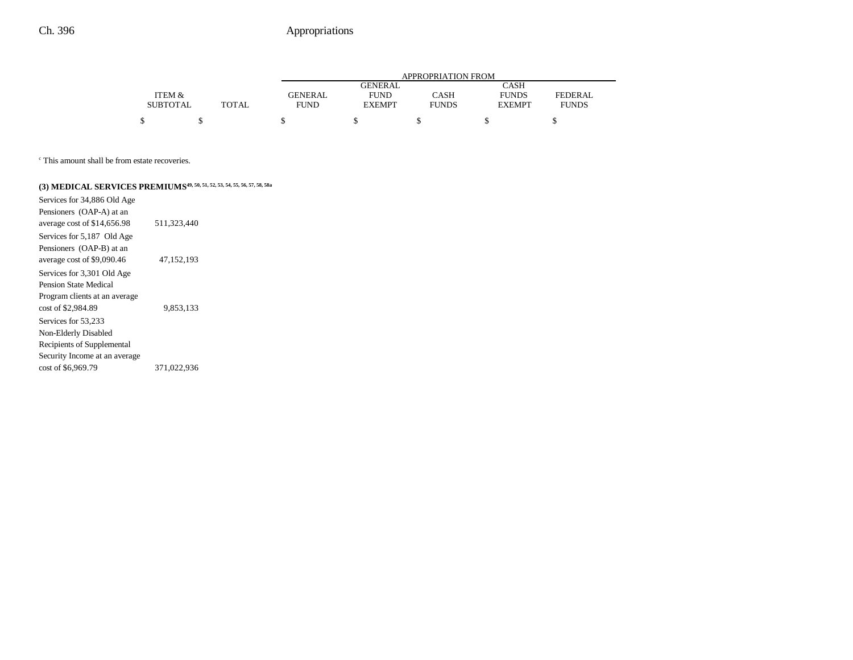|                 |              | APPROPRIATION FROM |                |              |               |              |  |  |  |
|-----------------|--------------|--------------------|----------------|--------------|---------------|--------------|--|--|--|
|                 |              |                    | <b>GENERAL</b> |              | <b>CASH</b>   |              |  |  |  |
| ITEM &          |              | GENERAL            | <b>FUND</b>    | <b>CASH</b>  | <b>FUNDS</b>  | FEDERAL      |  |  |  |
| <b>SUBTOTAL</b> | <b>TOTAL</b> | <b>FUND</b>        | <b>EXEMPT</b>  | <b>FUNDS</b> | <b>EXEMPT</b> | <b>FUNDS</b> |  |  |  |
|                 |              |                    |                |              |               |              |  |  |  |

c This amount shall be from estate recoveries.

# (3) **MEDICAL SERVICES PREMIUMS<sup>49, 50, 51, 52, 53, 54, 55, 56, 57, 58, 58a**</sup>

| Services for 34,886 Old Age   |              |  |
|-------------------------------|--------------|--|
| Pensioners (OAP-A) at an      |              |  |
| average cost of \$14,656.98   | 511.323.440  |  |
| Services for 5,187 Old Age    |              |  |
| Pensioners (OAP-B) at an      |              |  |
| average cost of \$9,090.46    | 47, 152, 193 |  |
| Services for 3,301 Old Age    |              |  |
| Pension State Medical         |              |  |
| Program clients at an average |              |  |
| cost of \$2,984.89            | 9.853.133    |  |
| Services for 53,233           |              |  |
| Non-Elderly Disabled          |              |  |
| Recipients of Supplemental    |              |  |
| Security Income at an average |              |  |
| cost of \$6,969.79            | 371.022.936  |  |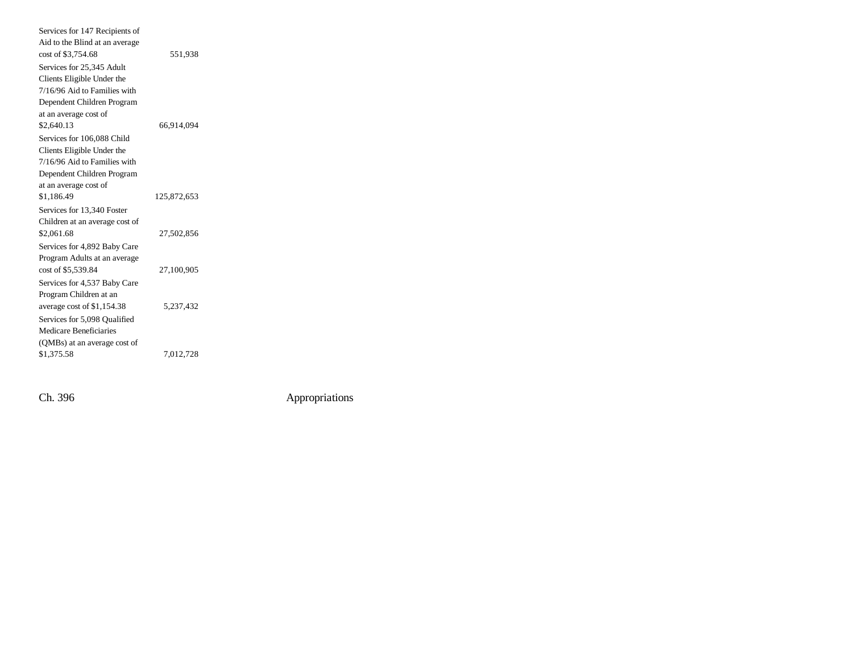| 551,938     |
|-------------|
|             |
|             |
|             |
|             |
|             |
| 66,914,094  |
|             |
|             |
|             |
|             |
|             |
| 125,872,653 |
|             |
|             |
| 27,502,856  |
|             |
|             |
| 27,100,905  |
|             |
|             |
| 5.237.432   |
|             |
|             |
|             |
|             |
|             |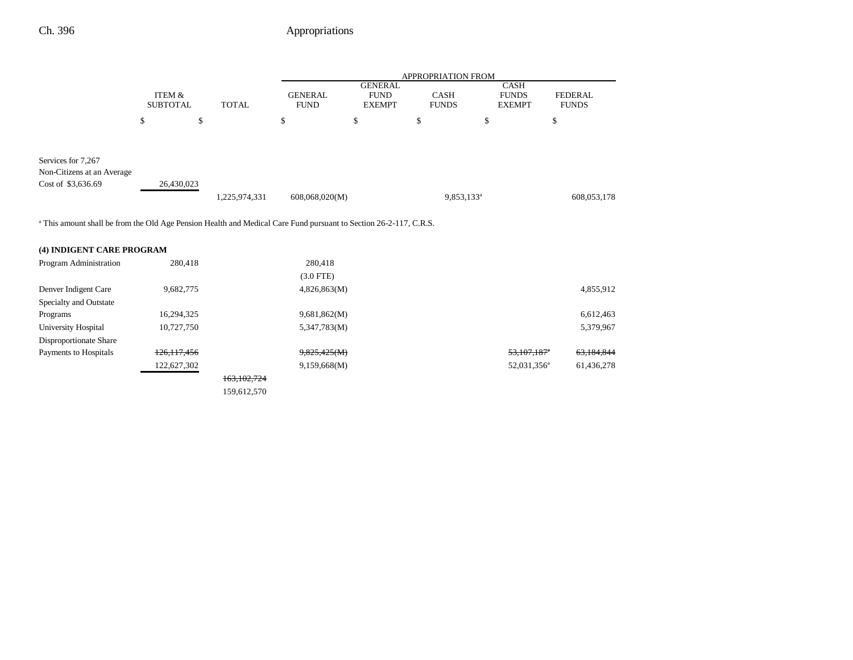|                                                                                                                              |                           |               | <b>APPROPRIATION FROM</b>     |                                                |                             |                                              |                                |  |
|------------------------------------------------------------------------------------------------------------------------------|---------------------------|---------------|-------------------------------|------------------------------------------------|-----------------------------|----------------------------------------------|--------------------------------|--|
|                                                                                                                              | ITEM &<br><b>SUBTOTAL</b> | <b>TOTAL</b>  | <b>GENERAL</b><br><b>FUND</b> | <b>GENERAL</b><br><b>FUND</b><br><b>EXEMPT</b> | <b>CASH</b><br><b>FUNDS</b> | <b>CASH</b><br><b>FUNDS</b><br><b>EXEMPT</b> | <b>FEDERAL</b><br><b>FUNDS</b> |  |
|                                                                                                                              | \$<br>\$                  |               | \$                            | \$                                             | \$                          | \$                                           | \$                             |  |
| Services for 7,267<br>Non-Citizens at an Average                                                                             |                           |               |                               |                                                |                             |                                              |                                |  |
| Cost of \$3,636.69                                                                                                           | 26,430,023                | 1,225,974,331 | 608,068,020(M)                |                                                | 9,853,133 <sup>a</sup>      |                                              | 608,053,178                    |  |
| <sup>a</sup> This amount shall be from the Old Age Pension Health and Medical Care Fund pursuant to Section 26-2-117, C.R.S. |                           |               |                               |                                                |                             |                                              |                                |  |
| (4) INDIGENT CARE PROGRAM                                                                                                    |                           |               |                               |                                                |                             |                                              |                                |  |
| Program Administration                                                                                                       | 280,418                   |               | 280,418                       |                                                |                             |                                              |                                |  |
|                                                                                                                              |                           |               | $(3.0$ FTE)                   |                                                |                             |                                              |                                |  |
| Denver Indigent Care                                                                                                         | 9,682,775                 |               | 4,826,863(M)                  |                                                |                             |                                              | 4,855,912                      |  |
| Specialty and Outstate                                                                                                       |                           |               |                               |                                                |                             |                                              |                                |  |
| Programs                                                                                                                     | 16,294,325                |               | 9,681,862(M)                  |                                                |                             |                                              | 6,612,463                      |  |
| University Hospital                                                                                                          | 10,727,750                |               | 5,347,783(M)                  |                                                |                             |                                              | 5,379,967                      |  |
| Disproportionate Share                                                                                                       |                           |               |                               |                                                |                             |                                              |                                |  |
| Payments to Hospitals                                                                                                        | 126, 117, 456             |               | 9,825,425(M)                  |                                                |                             | $53,107,187$ <sup>*</sup>                    | 63,184,844                     |  |
|                                                                                                                              | 122,627,302               |               | 9,159,668(M)                  |                                                |                             | 52,031,356 <sup>a</sup>                      | 61,436,278                     |  |
|                                                                                                                              |                           | 163, 102, 724 |                               |                                                |                             |                                              |                                |  |
|                                                                                                                              |                           | 159,612,570   |                               |                                                |                             |                                              |                                |  |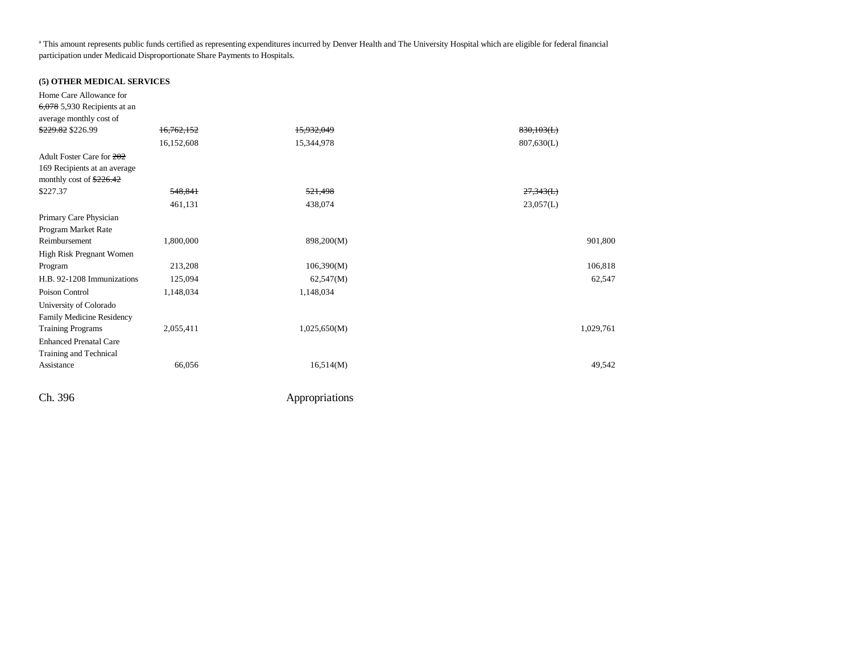<sup>a</sup> This amount represents public funds certified as representing expenditures incurred by Denver Health and The University Hospital which are eligible for federal financial participation under Medicaid Disproportionate Share Payments to Hospitals.

#### **(5) OTHER MEDICAL SERVICES**

| Home Care Allowance for            |            |              |            |
|------------------------------------|------------|--------------|------------|
| $6,078$ 5,930 Recipients at an     |            |              |            |
| average monthly cost of            |            |              |            |
| \$229.82 \$226.99                  | 16,762,152 | 15,932,049   | 830,103(L) |
|                                    | 16,152,608 | 15,344,978   | 807,630(L) |
| Adult Foster Care for 202          |            |              |            |
| 169 Recipients at an average       |            |              |            |
| monthly cost of $\frac{226.42}{2}$ |            |              |            |
| \$227.37                           | 548,841    | 521,498      | 27,343(L)  |
|                                    | 461,131    | 438,074      | 23,057(L)  |
| Primary Care Physician             |            |              |            |
| Program Market Rate                |            |              |            |
| Reimbursement                      | 1,800,000  | 898,200(M)   | 901,800    |
| High Risk Pregnant Women           |            |              |            |
| Program                            | 213,208    | 106,390(M)   | 106,818    |
| H.B. 92-1208 Immunizations         | 125,094    | 62,547(M)    | 62,547     |
| Poison Control                     | 1,148,034  | 1,148,034    |            |
| University of Colorado             |            |              |            |
| Family Medicine Residency          |            |              |            |
| <b>Training Programs</b>           | 2,055,411  | 1,025,650(M) | 1,029,761  |
| <b>Enhanced Prenatal Care</b>      |            |              |            |
| Training and Technical             |            |              |            |
| Assistance                         | 66,056     | 16,514(M)    | 49,542     |
|                                    |            |              |            |
|                                    |            |              |            |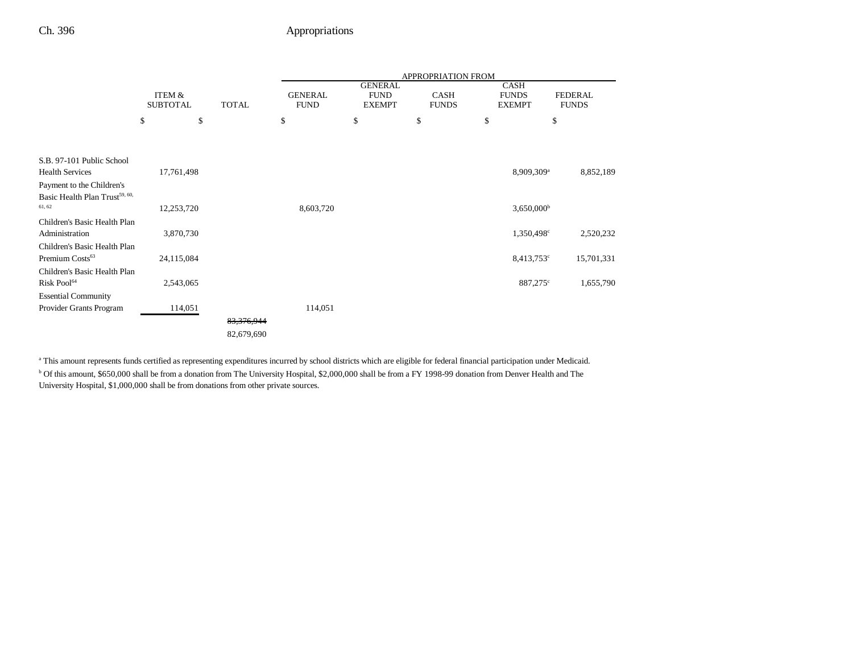|                                                                         |                           |              |                               |                                                | APPROPRIATION FROM          |                                       |                                |
|-------------------------------------------------------------------------|---------------------------|--------------|-------------------------------|------------------------------------------------|-----------------------------|---------------------------------------|--------------------------------|
|                                                                         | ITEM &<br><b>SUBTOTAL</b> | <b>TOTAL</b> | <b>GENERAL</b><br><b>FUND</b> | <b>GENERAL</b><br><b>FUND</b><br><b>EXEMPT</b> | <b>CASH</b><br><b>FUNDS</b> | CASH<br><b>FUNDS</b><br><b>EXEMPT</b> | <b>FEDERAL</b><br><b>FUNDS</b> |
|                                                                         | \$<br>\$                  |              | \$                            | \$                                             | \$                          | \$                                    | \$                             |
| S.B. 97-101 Public School<br><b>Health Services</b>                     | 17,761,498                |              |                               |                                                |                             | 8,909,309 <sup>a</sup>                | 8,852,189                      |
| Payment to the Children's<br>Basic Health Plan Trust <sup>59, 60,</sup> |                           |              |                               |                                                |                             |                                       |                                |
| 61, 62                                                                  | 12,253,720                |              | 8,603,720                     |                                                |                             | $3,650,000$ <sup>b</sup>              |                                |
| Children's Basic Health Plan<br>Administration                          | 3,870,730                 |              |                               |                                                |                             | $1,350,498^{\circ}$                   | 2,520,232                      |
| Children's Basic Health Plan<br>Premium Costs <sup>63</sup>             | 24,115,084                |              |                               |                                                |                             | $8,413,753$ <sup>c</sup>              | 15,701,331                     |
| Children's Basic Health Plan<br>Risk Pool <sup>64</sup>                 | 2,543,065                 |              |                               |                                                |                             | 887,275°                              | 1,655,790                      |
| <b>Essential Community</b><br>Provider Grants Program                   | 114,051                   |              | 114,051                       |                                                |                             |                                       |                                |
|                                                                         |                           | 83, 376, 944 |                               |                                                |                             |                                       |                                |
|                                                                         |                           | 82,679,690   |                               |                                                |                             |                                       |                                |

a This amount represents funds certified as representing expenditures incurred by school districts which are eligible for federal financial participation under Medicaid. b Of this amount, \$650,000 shall be from a donation from The University Hospital, \$2,000,000 shall be from a FY 1998-99 donation from Denver Health and The University Hospital, \$1,000,000 shall be from donations from other private sources.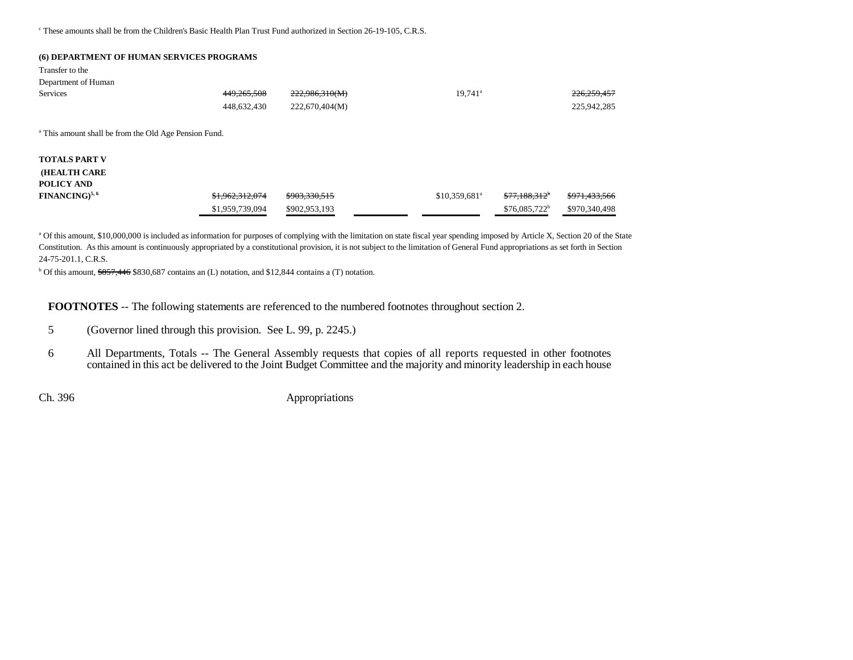<sup>c</sup> These amounts shall be from the Children's Basic Health Plan Trust Fund authorized in Section 26-19-105, C.R.S.

#### **(6) DEPARTMENT OF HUMAN SERVICES PROGRAMS**

Transfer to theDepartment of Human

| 449,265,508     | 222,986,310(M)                                                   | $19,741$ <sup>a</sup>      |                            | 226,259,457   |
|-----------------|------------------------------------------------------------------|----------------------------|----------------------------|---------------|
| 448,632,430     | 222,670,404(M)                                                   |                            |                            | 225,942,285   |
|                 |                                                                  |                            |                            |               |
|                 |                                                                  |                            |                            |               |
|                 |                                                                  |                            |                            |               |
|                 |                                                                  |                            |                            |               |
| \$1,962,312,074 | \$903,330,515                                                    | $$10,359,681$ <sup>a</sup> | $$77,188,312$ <sup>*</sup> | \$971,433,566 |
| \$1,959,739,094 | \$902,953,193                                                    |                            | $$76,085,722^b$            | \$970,340,498 |
|                 | <sup>a</sup> This amount shall be from the Old Age Pension Fund. |                            |                            |               |

a Of this amount, \$10,000,000 is included as information for purposes of complying with the limitation on state fiscal year spending imposed by Article X, Section 20 of the State Constitution. As this amount is continuously appropriated by a constitutional provision, it is not subject to the limitation of General Fund appropriations as set forth in Section 24-75-201.1, C.R.S.

<sup>b</sup> Of this amount,  $\frac{$857,446}{$830,687}$  contains an (L) notation, and \$12,844 contains a (T) notation.

**FOOTNOTES** -- The following statements are referenced to the numbered footnotes throughout section 2.

- 5 (Governor lined through this provision. See L. 99, p. 2245.)
- 6 All Departments, Totals -- The General Assembly requests that copies of all reports requested in other footnotes contained in this act be delivered to the Joint Budget Committee and the majority and minority leadership in each house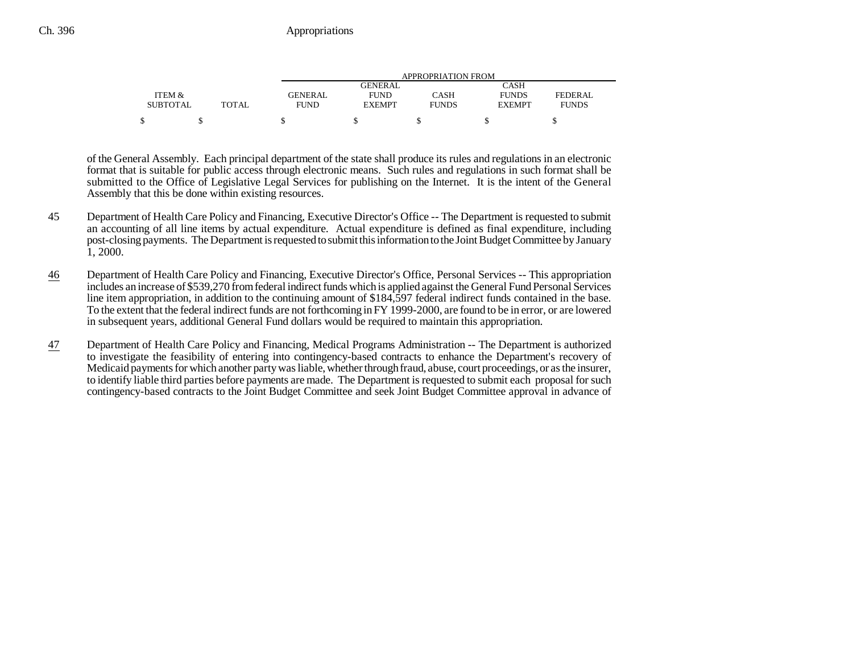|                 |              | APPROPRIATION FROM |               |              |               |              |
|-----------------|--------------|--------------------|---------------|--------------|---------------|--------------|
|                 |              |                    | GENERAL       |              | CASH          |              |
| ITEM &          |              | GENERAL            | <b>FUND</b>   | CASH         | <b>FUNDS</b>  | FEDERAL      |
| <b>SUBTOTAL</b> | <b>TOTAL</b> | <b>FUND</b>        | <b>EXEMPT</b> | <b>FUNDS</b> | <b>EXEMPT</b> | <b>FUNDS</b> |
|                 |              |                    |               |              |               |              |

of the General Assembly. Each principal department of the state shall produce its rules and regulations in an electronic format that is suitable for public access through electronic means. Such rules and regulations in such format shall be submitted to the Office of Legislative Legal Services for publishing on the Internet. It is the intent of the General Assembly that this be done within existing resources.

- 45 Department of Health Care Policy and Financing, Executive Director's Office -- The Department is requested to submit an accounting of all line items by actual expenditure. Actual expenditure is defined as final expenditure, including post-closing payments. The Department is requested to submit this information to the Joint Budget Committee by January 1, 2000.
- 46 Department of Health Care Policy and Financing, Executive Director's Office, Personal Services -- This appropriation includes an increase of \$539,270 from federal indirect funds which is applied against the General Fund Personal Services line item appropriation, in addition to the continuing amount of \$184,597 federal indirect funds contained in the base. To the extent that the federal indirect funds are not forthcoming in FY 1999-2000, are found to be in error, or are lowered in subsequent years, additional General Fund dollars would be required to maintain this appropriation.
- 47 Department of Health Care Policy and Financing, Medical Programs Administration -- The Department is authorized to investigate the feasibility of entering into contingency-based contracts to enhance the Department's recovery of Medicaid payments for which another party was liable, whether through fraud, abuse, court proceedings, or as the insurer, to identify liable third parties before payments are made. The Department is requested to submit each proposal for such contingency-based contracts to the Joint Budget Committee and seek Joint Budget Committee approval in advance of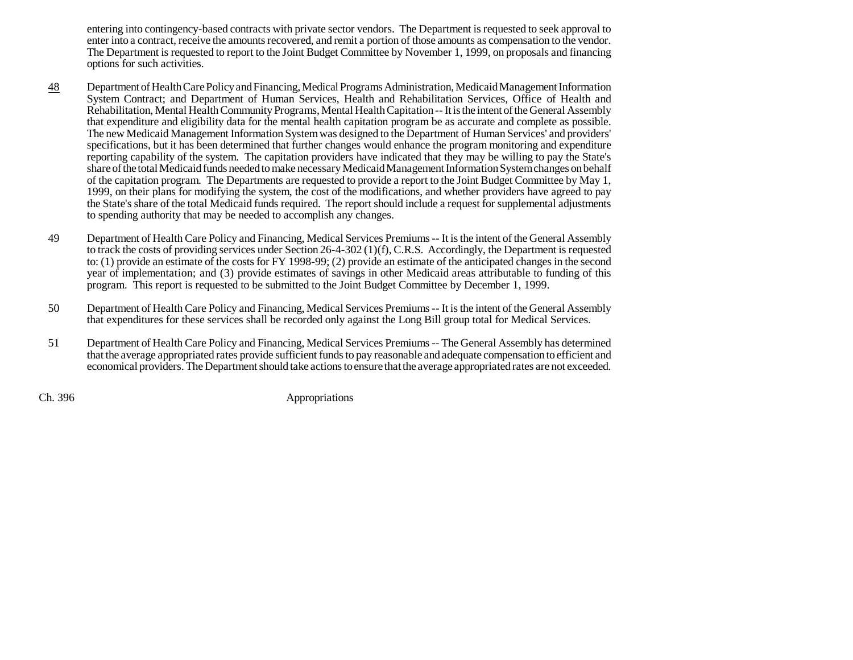entering into contingency-based contracts with private sector vendors. The Department is requested to seek approval to enter into a contract, receive the amounts recovered, and remit a portion of those amounts as compensation to the vendor. The Department is requested to report to the Joint Budget Committee by November 1, 1999, on proposals and financing options for such activities.

- 48 Department of Health Care Policy and Financing, Medical Programs Administration, Medicaid Management Information System Contract; and Department of Human Services, Health and Rehabilitation Services, Office of Health and Rehabilitation, Mental Health Community Programs, Mental Health Capitation -- It is the intent of the General Assembly that expenditure and eligibility data for the mental health capitation program be as accurate and complete as possible. The new Medicaid Management Information System was designed to the Department of Human Services' and providers' specifications, but it has been determined that further changes would enhance the program monitoring and expenditure reporting capability of the system. The capitation providers have indicated that they may be willing to pay the State's share of the total Medicaid funds needed to make necessary Medicaid Management Information System changes on behalf of the capitation program. The Departments are requested to provide a report to the Joint Budget Committee by May 1, 1999, on their plans for modifying the system, the cost of the modifications, and whether providers have agreed to pay the State's share of the total Medicaid funds required. The report should include a request for supplemental adjustments to spending authority that may be needed to accomplish any changes.
- 49 Department of Health Care Policy and Financing, Medical Services Premiums -- It is the intent of the General Assembly to track the costs of providing services under Section 26-4-302 (1)(f), C.R.S. Accordingly, the Department is requested to: (1) provide an estimate of the costs for FY 1998-99; (2) provide an estimate of the anticipated changes in the second year of implementation; and (3) provide estimates of savings in other Medicaid areas attributable to funding of this program. This report is requested to be submitted to the Joint Budget Committee by December 1, 1999.
- 50 Department of Health Care Policy and Financing, Medical Services Premiums -- It is the intent of the General Assembly that expenditures for these services shall be recorded only against the Long Bill group total for Medical Services.
- 51 Department of Health Care Policy and Financing, Medical Services Premiums -- The General Assembly has determined that the average appropriated rates provide sufficient funds to pay reasonable and adequate compensation to efficient and economical providers. The Department should take actions to ensure that the average appropriated rates are not exceeded.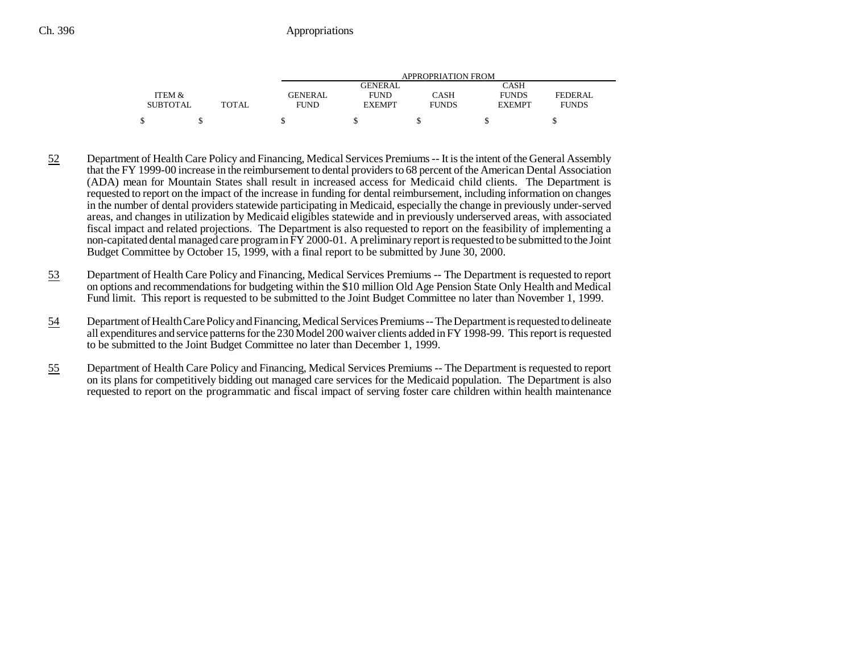|                 |              | <b>APPROPRIATION FROM</b> |                |              |               |              |
|-----------------|--------------|---------------------------|----------------|--------------|---------------|--------------|
|                 |              |                           | <b>GENERAL</b> |              | CASH          |              |
| ITEM &          |              | <b>GENERAL</b>            | <b>FUND</b>    | CASH         | <b>FUNDS</b>  | FEDERAL      |
| <b>SUBTOTAL</b> | <b>TOTAL</b> | <b>FUND</b>               | <b>EXEMPT</b>  | <b>FUNDS</b> | <b>EXEMPT</b> | <b>FUNDS</b> |
|                 |              |                           |                |              |               |              |

- 52 Department of Health Care Policy and Financing, Medical Services Premiums -- It is the intent of the General Assembly that the FY 1999-00 increase in the reimbursement to dental providers to 68 percent of the American Dental Association (ADA) mean for Mountain States shall result in increased access for Medicaid child clients. The Department is requested to report on the impact of the increase in funding for dental reimbursement, including information on changes in the number of dental providers statewide participating in Medicaid, especially the change in previously under-served areas, and changes in utilization by Medicaid eligibles statewide and in previously underserved areas, with associated fiscal impact and related projections. The Department is also requested to report on the feasibility of implementing a non-capitated dental managed care program in FY 2000-01. A preliminary report is requested to be submitted to the Joint Budget Committee by October 15, 1999, with a final report to be submitted by June 30, 2000.
- 53 Department of Health Care Policy and Financing, Medical Services Premiums -- The Department is requested to report on options and recommendations for budgeting within the \$10 million Old Age Pension State Only Health and Medical Fund limit. This report is requested to be submitted to the Joint Budget Committee no later than November 1, 1999.
- 54 Department of Health Care Policy and Financing, Medical Services Premiums -- The Department is requested to delineate all expenditures and service patterns for the 230 Model 200 waiver clients added in FY 1998-99. This report is requested to be submitted to the Joint Budget Committee no later than December 1, 1999.
- 55 Department of Health Care Policy and Financing, Medical Services Premiums -- The Department is requested to report on its plans for competitively bidding out managed care services for the Medicaid population. The Department is also requested to report on the programmatic and fiscal impact of serving foster care children within health maintenance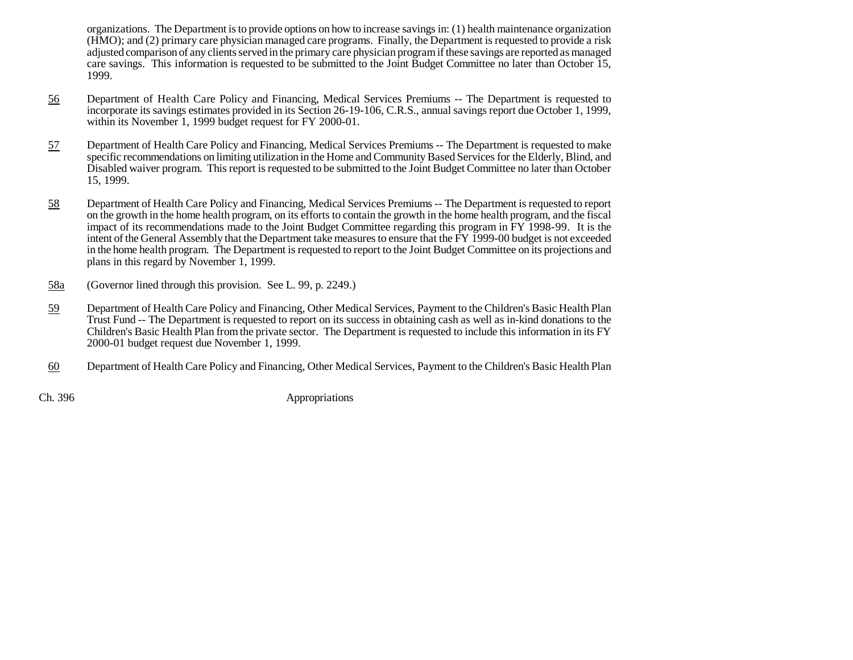organizations. The Department is to provide options on how to increase savings in: (1) health maintenance organization (HMO); and (2) primary care physician managed care programs. Finally, the Department is requested to provide a risk adjusted comparison of any clients served in the primary care physician program if these savings are reported as managed care savings. This information is requested to be submitted to the Joint Budget Committee no later than October 15, 1999.

- 56 Department of Health Care Policy and Financing, Medical Services Premiums -- The Department is requested to incorporate its savings estimates provided in its Section 26-19-106, C.R.S., annual savings report due October 1, 1999, within its November 1, 1999 budget request for FY 2000-01.
- 57 Department of Health Care Policy and Financing, Medical Services Premiums -- The Department is requested to make specific recommendations on limiting utilization in the Home and Community Based Services for the Elderly, Blind, and Disabled waiver program. This report is requested to be submitted to the Joint Budget Committee no later than October 15, 1999.
- 58 Department of Health Care Policy and Financing, Medical Services Premiums -- The Department is requested to report on the growth in the home health program, on its efforts to contain the growth in the home health program, and the fiscal impact of its recommendations made to the Joint Budget Committee regarding this program in FY 1998-99. It is the intent of the General Assembly that the Department take measures to ensure that the FY 1999-00 budget is not exceeded in the home health program. The Department is requested to report to the Joint Budget Committee on its projections and plans in this regard by November 1, 1999.
- 58a(Governor lined through this provision. See L. 99, p. 2249.)
- 59 Department of Health Care Policy and Financing, Other Medical Services, Payment to the Children's Basic Health Plan Trust Fund -- The Department is requested to report on its success in obtaining cash as well as in-kind donations to the Children's Basic Health Plan from the private sector. The Department is requested to include this information in its FY 2000-01 budget request due November 1, 1999.
- 60Department of Health Care Policy and Financing, Other Medical Services, Payment to the Children's Basic Health Plan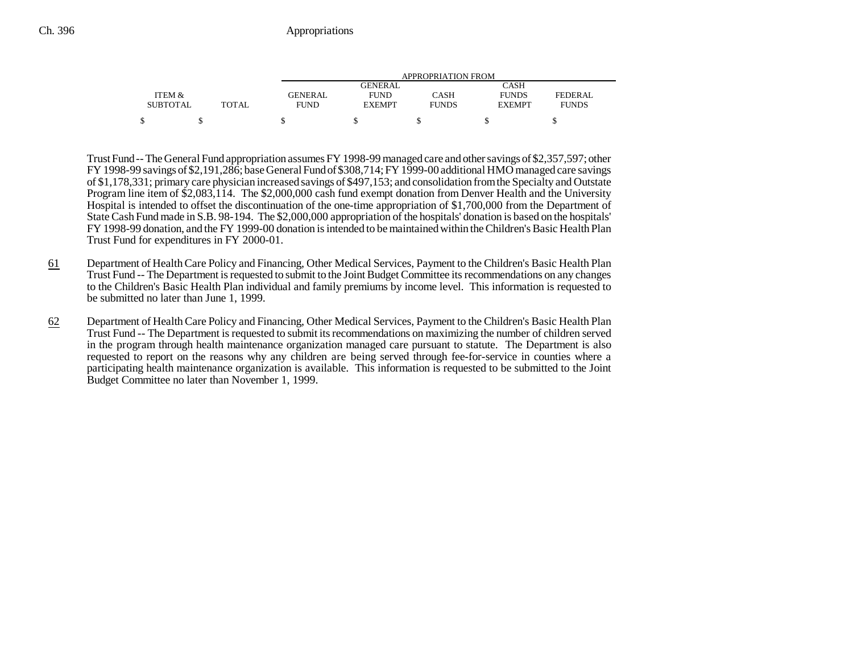|                 |              |             | APPROPRIATION FROM |              |               |                |  |  |
|-----------------|--------------|-------------|--------------------|--------------|---------------|----------------|--|--|
|                 |              |             | GENERAL            |              | CASH          |                |  |  |
| ITEM &          |              | GENERAL     | <b>FUND</b>        | CASH         | <b>FUNDS</b>  | <b>FEDERAL</b> |  |  |
| <b>SUBTOTAL</b> | <b>TOTAL</b> | <b>FUND</b> | <b>EXEMPT</b>      | <b>FUNDS</b> | <b>EXEMPT</b> | <b>FUNDS</b>   |  |  |
|                 |              |             |                    |              |               |                |  |  |

Trust Fund -- The General Fund appropriation assumes FY 1998-99 managed care and other savings of \$2,357,597; other FY 1998-99 savings of \$2,191,286; base General Fund of \$308,714; FY 1999-00 additional HMO managed care savings of \$1,178,331; primary care physician increased savings of \$497,153; and consolidation from the Specialty and Outstate Program line item of \$2,083,114. The \$2,000,000 cash fund exempt donation from Denver Health and the University Hospital is intended to offset the discontinuation of the one-time appropriation of \$1,700,000 from the Department of State Cash Fund made in S.B. 98-194. The \$2,000,000 appropriation of the hospitals' donation is based on the hospitals' FY 1998-99 donation, and the FY 1999-00 donation is intended to be maintained within the Children's Basic Health Plan Trust Fund for expenditures in FY 2000-01.

- 61 Department of Health Care Policy and Financing, Other Medical Services, Payment to the Children's Basic Health Plan Trust Fund -- The Department is requested to submit to the Joint Budget Committee its recommendations on any changes to the Children's Basic Health Plan individual and family premiums by income level. This information is requested to be submitted no later than June 1, 1999.
- 62 Department of Health Care Policy and Financing, Other Medical Services, Payment to the Children's Basic Health Plan Trust Fund -- The Department is requested to submit its recommendations on maximizing the number of children served in the program through health maintenance organization managed care pursuant to statute. The Department is also requested to report on the reasons why any children are being served through fee-for-service in counties where a participating health maintenance organization is available. This information is requested to be submitted to the Joint Budget Committee no later than November 1, 1999.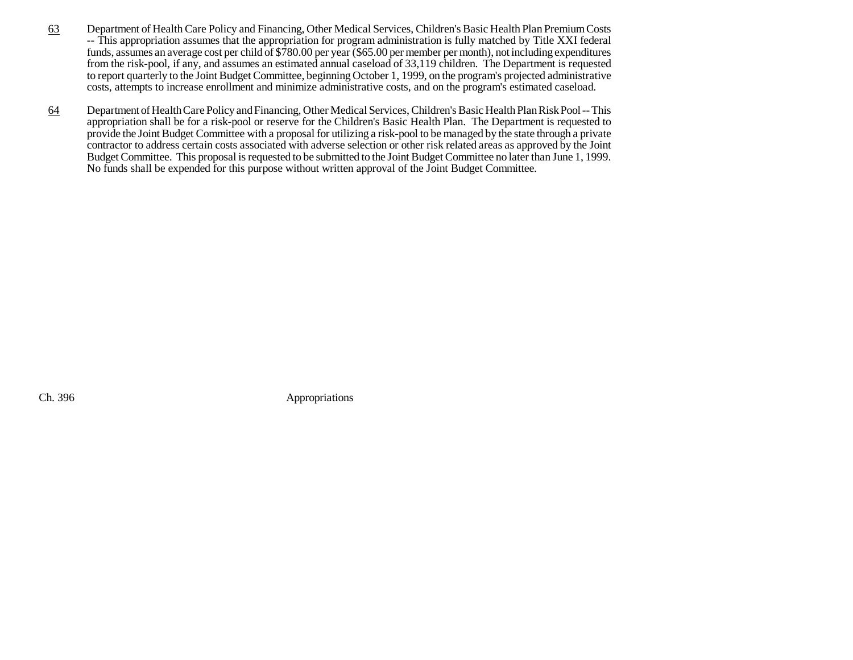- 63 Department of Health Care Policy and Financing, Other Medical Services, Children's Basic Health Plan Premium Costs -- This appropriation assumes that the appropriation for program administration is fully matched by Title XXI federal funds, assumes an average cost per child of \$780.00 per year (\$65.00 per member per month), not including expenditures from the risk-pool, if any, and assumes an estimated annual caseload of 33,119 children. The Department is requested to report quarterly to the Joint Budget Committee, beginning October 1, 1999, on the program's projected administrative costs, attempts to increase enrollment and minimize administrative costs, and on the program's estimated caseload.
- 64 Department of Health Care Policy and Financing, Other Medical Services, Children's Basic Health Plan Risk Pool -- This appropriation shall be for a risk-pool or reserve for the Children's Basic Health Plan. The Department is requested to provide the Joint Budget Committee with a proposal for utilizing a risk-pool to be managed by the state through a private contractor to address certain costs associated with adverse selection or other risk related areas as approved by the Joint Budget Committee. This proposal is requested to be submitted to the Joint Budget Committee no later than June 1, 1999. No funds shall be expended for this purpose without written approval of the Joint Budget Committee.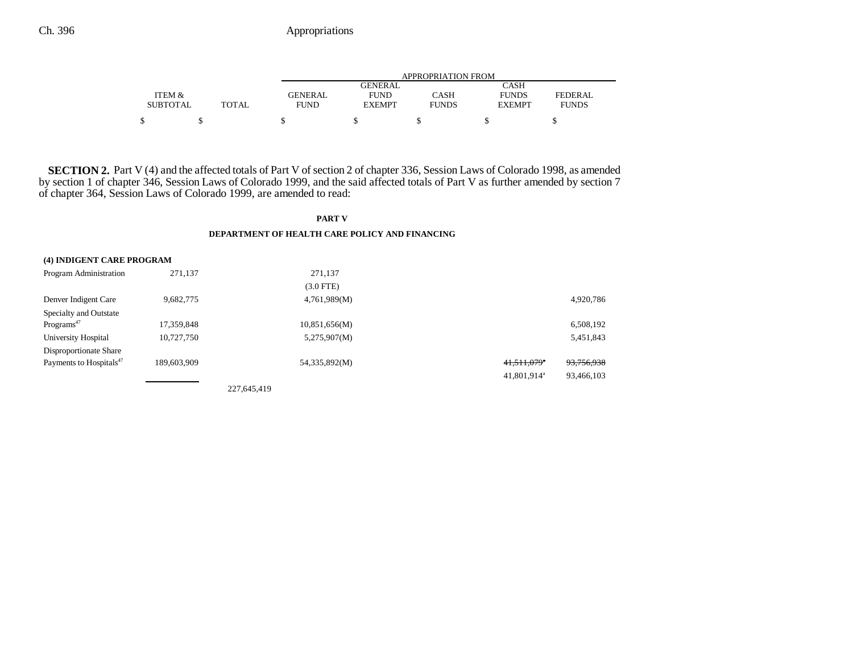|                 |       | APPROPRIATION FROM |               |              |               |              |  |
|-----------------|-------|--------------------|---------------|--------------|---------------|--------------|--|
|                 |       |                    | GENERAL       |              | CASH          |              |  |
| ITEM &          |       | <b>GENERAL</b>     | <b>FUND</b>   | CASH         | <b>FUNDS</b>  | FEDERAL      |  |
| <b>SUBTOTAL</b> | TOTAL | <b>FUND</b>        | <b>EXEMPT</b> | <b>FUNDS</b> | <b>EXEMPT</b> | <b>FUNDS</b> |  |
| \$              |       |                    |               |              |               |              |  |

**SECTION 2.** Part V (4) and the affected totals of Part V of section 2 of chapter 336, Session Laws of Colorado 1998, as amended by section 1 of chapter 346, Session Laws of Colorado 1999, and the said affected totals of Part V as further amended by section 7 of chapter 364, Session Laws of Colorado 1999, are amended to read:

#### **PART V DEPARTMENT OF HEALTH CARE POLICY AND FINANCING**

| (4) INDIGENT CARE PROGRAM           |             |             |               |                         |            |
|-------------------------------------|-------------|-------------|---------------|-------------------------|------------|
| Program Administration              | 271.137     |             | 271,137       |                         |            |
|                                     |             |             | $(3.0$ FTE)   |                         |            |
| Denver Indigent Care                | 9,682,775   |             | 4,761,989(M)  |                         | 4,920,786  |
| Specialty and Outstate              |             |             |               |                         |            |
| Programs <sup>47</sup>              | 17,359,848  |             | 10,851,656(M) |                         | 6,508,192  |
| University Hospital                 | 10,727,750  |             | 5,275,907(M)  |                         | 5,451,843  |
| Disproportionate Share              |             |             |               |                         |            |
| Payments to Hospitals <sup>47</sup> | 189,603,909 |             | 54,335,892(M) | 41,511,079*             | 93,756,938 |
|                                     |             |             |               | 41.801.914 <sup>a</sup> | 93,466,103 |
|                                     |             | 227.645.419 |               |                         |            |